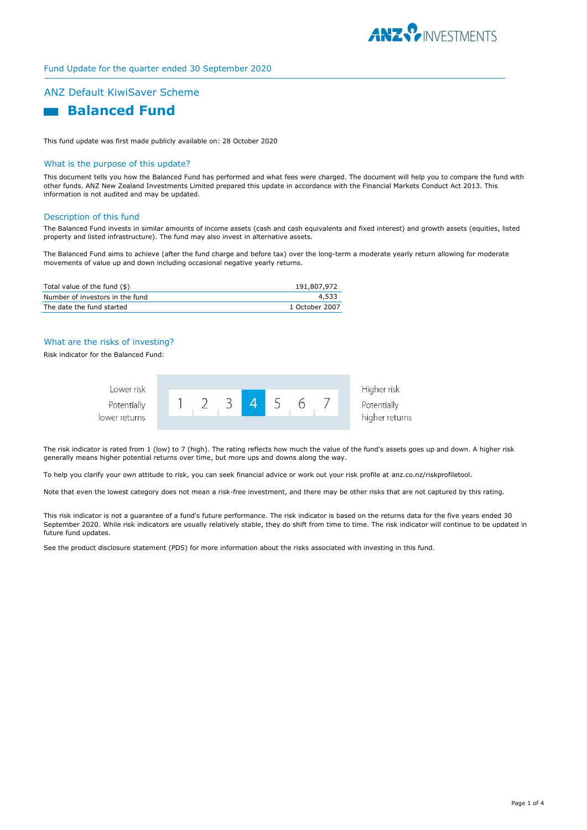

Fund Update for the quarter ended 30 September 2020

# ANZ Default KiwiSaver Scheme



This fund update was first made publicly available on: 28 October 2020

### What is the purpose of this update?

This document tells you how the Balanced Fund has performed and what fees were charged. The document will help you to compare the fund with other funds. ANZ New Zealand Investments Limited prepared this update in accordance with the Financial Markets Conduct Act 2013. This information is not audited and may be updated.

#### Description of this fund

The Balanced Fund invests in similar amounts of income assets (cash and cash equivalents and fixed interest) and growth assets (equities, listed property and listed infrastructure). The fund may also invest in alternative assets.

The Balanced Fund aims to achieve (after the fund charge and before tax) over the long-term a moderate yearly return allowing for moderate movements of value up and down including occasional negative yearly returns.

| Total value of the fund (\$)    | 191,807,972    |
|---------------------------------|----------------|
| Number of investors in the fund | 4,533          |
| The date the fund started       | 1 October 2007 |

## What are the risks of investing?

Risk indicator for the Balanced Fund:



The risk indicator is rated from 1 (low) to 7 (high). The rating reflects how much the value of the fund's assets goes up and down. A higher risk generally means higher potential returns over time, but more ups and downs along the way.

To help you clarify your own attitude to risk, you can seek financial advice or work out your risk profile at anz.co.nz/riskprofiletool.

Note that even the lowest category does not mean a risk-free investment, and there may be other risks that are not captured by this rating.

This risk indicator is not a guarantee of a fund's future performance. The risk indicator is based on the returns data for the five years ended 30 September 2020. While risk indicators are usually relatively stable, they do shift from time to time. The risk indicator will continue to be updated in future fund updates.

See the product disclosure statement (PDS) for more information about the risks associated with investing in this fund.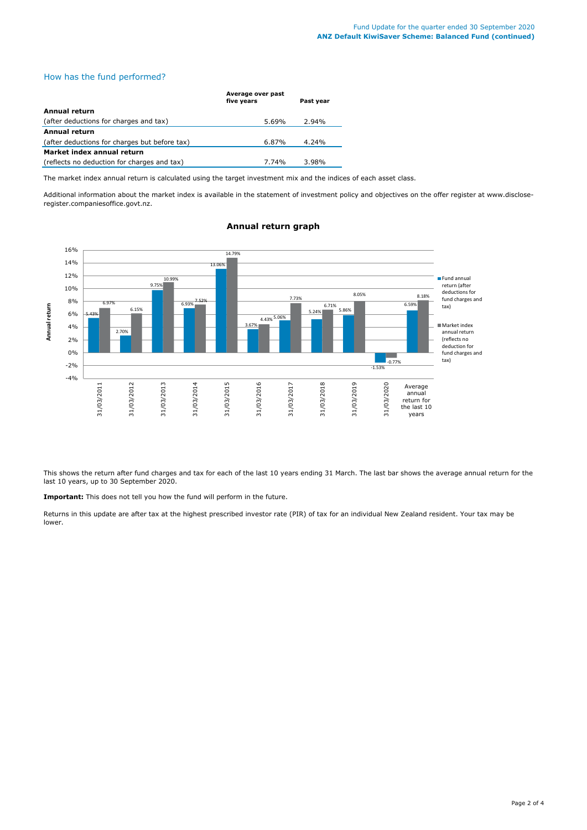## How has the fund performed?

|                                               | Average over past<br>five years | Past year |
|-----------------------------------------------|---------------------------------|-----------|
| Annual return                                 |                                 |           |
| (after deductions for charges and tax)        | 5.69%                           | 2.94%     |
| <b>Annual return</b>                          |                                 |           |
| (after deductions for charges but before tax) | 6.87%                           | 4.24%     |
| Market index annual return                    |                                 |           |
| (reflects no deduction for charges and tax)   | 7.74%                           | 3.98%     |

The market index annual return is calculated using the target investment mix and the indices of each asset class.

Additional information about the market index is available in the statement of investment policy and objectives on the offer register at www.discloseregister.companiesoffice.govt.nz.



## **Annual return graph**

This shows the return after fund charges and tax for each of the last 10 years ending 31 March. The last bar shows the average annual return for the last 10 years, up to 30 September 2020.

**Important:** This does not tell you how the fund will perform in the future.

Returns in this update are after tax at the highest prescribed investor rate (PIR) of tax for an individual New Zealand resident. Your tax may be lower.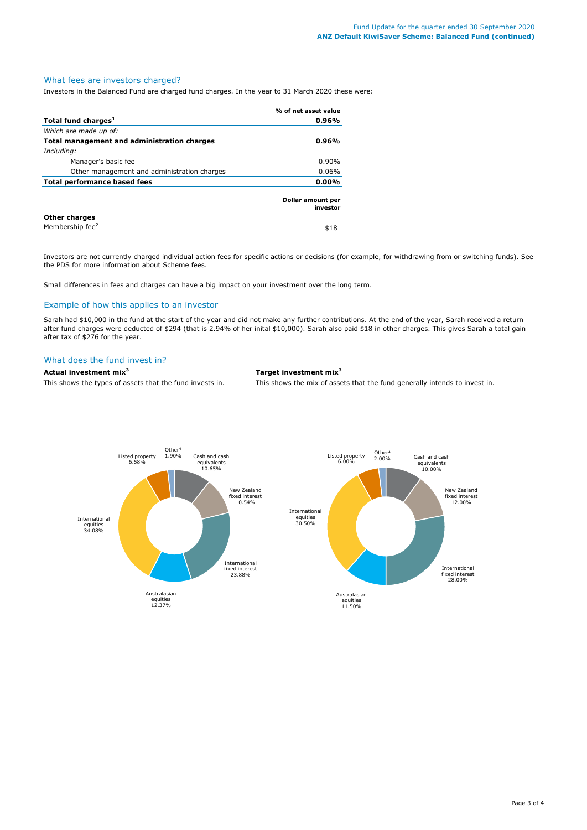# What fees are investors charged?

Investors in the Balanced Fund are charged fund charges. In the year to 31 March 2020 these were:

|                                             | % of net asset value          |
|---------------------------------------------|-------------------------------|
| Total fund charges <sup>1</sup>             | 0.96%                         |
| Which are made up of:                       |                               |
| Total management and administration charges | 0.96%                         |
| Including:                                  |                               |
| Manager's basic fee                         | $0.90\%$                      |
| Other management and administration charges | 0.06%                         |
| <b>Total performance based fees</b>         | 0.00%                         |
|                                             | Dollar amount per<br>investor |
| <b>Other charges</b>                        |                               |
| Membership fee <sup>2</sup>                 | \$18                          |

Investors are not currently charged individual action fees for specific actions or decisions (for example, for withdrawing from or switching funds). See the PDS for more information about Scheme fees.

Small differences in fees and charges can have a big impact on your investment over the long term.

## Example of how this applies to an investor

Sarah had \$10,000 in the fund at the start of the year and did not make any further contributions. At the end of the year, Sarah received a return after fund charges were deducted of \$294 (that is 2.94% of her inital \$10,000). Sarah also paid \$18 in other charges. This gives Sarah a total gain after tax of \$276 for the year.

## What does the fund invest in?

**Actual investment mix<sup>3</sup> Target investment mix<sup>3</sup>**

This shows the types of assets that the fund invests in. This shows the mix of assets that the fund generally intends to invest in.